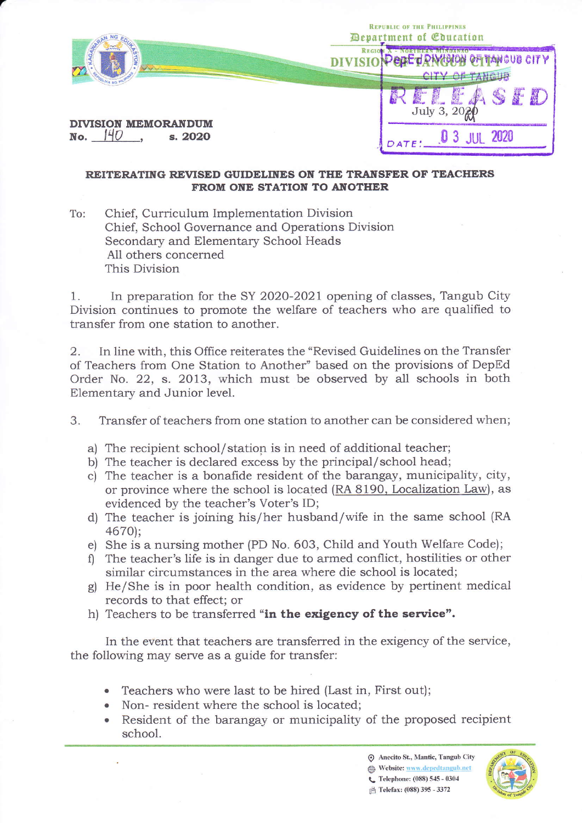|                                              | <b>REPUBLIC OF THE PHILIPPINES</b><br><b><i>Department of Coucation</i></b> |
|----------------------------------------------|-----------------------------------------------------------------------------|
|                                              | <b>REGIO</b><br><b>OE JONGTON OF TANGUE CITY</b><br>CITY OF TANGUB          |
| <b>DIVISION MEMORANDUM</b><br>s. 2020<br>No. | A B<br><b>READ</b><br>July 3, 2021                                          |
|                                              | 2020<br>DATE:                                                               |

## REITERATING REVISED GUIDELINES ON THE TRANSFER OF TEACHERS FROM ONE STATION TO ANOTHER

To: Chief, Curriculum Implementation Division Chief, School Governance and Operations Division Secondary and Elementary School Heads A11 others concerned This Division

r

1. In preparation for the SY 2020-2021 opening of classes, Tangub City Division continues to promote the welfare of teachers who are qualified to transfer from one station to another.

2. In line with, this Office reiterates the'Revised Guidelines on the Transfer of Teachers from One Station to Another" based on the provisions of DepEd Order No. 22, s. 2013, which must be observed by all schools in both Elementary and Junior level.

3. Transfer of teachers from one station to another can be considered when;

- a) The recipient school/station is in need of additional teacher;
- b) The teacher is declared excess by the principal/school head;
- c) The teacher is a bonafide resident of the barangay, municipality, city, or province where the school is located (RA 8190, Localization Law), as evidenced by the teacher's Voter's ID;
- d) The teacher is joining his/her husband/wife in the same school (RA 467O1;
- e) She is a nursing mother (PD No. 603, Child and Youth Welfare Code);
- f) The teacher's life is in danger due to armed conflict, hostilities or other similar circumstances in the area where die school is located;
- g) He/She is in poor health condition, as evidence by pertinent medical records to that effect; or
- h) Teachers to be transferred "in the exigency of the service".

In the event that teachers are transferred in the exigency of the service, the following may serve as a guide for transfer:

- Teachers who were last to be hired (Last in, First out);
- . Non- resident where the school is located;
- Resident of the barangay or municipality of the proposed recipient school.

 $\odot$  Anecito St., Mantic, Tangub City Eightharpoonum Website: www.depedtangub.net<br>
C. Telephone: (088) 545 - 0304

 $\frac{4}{100}$  Telefax: (088) 395 - 3372